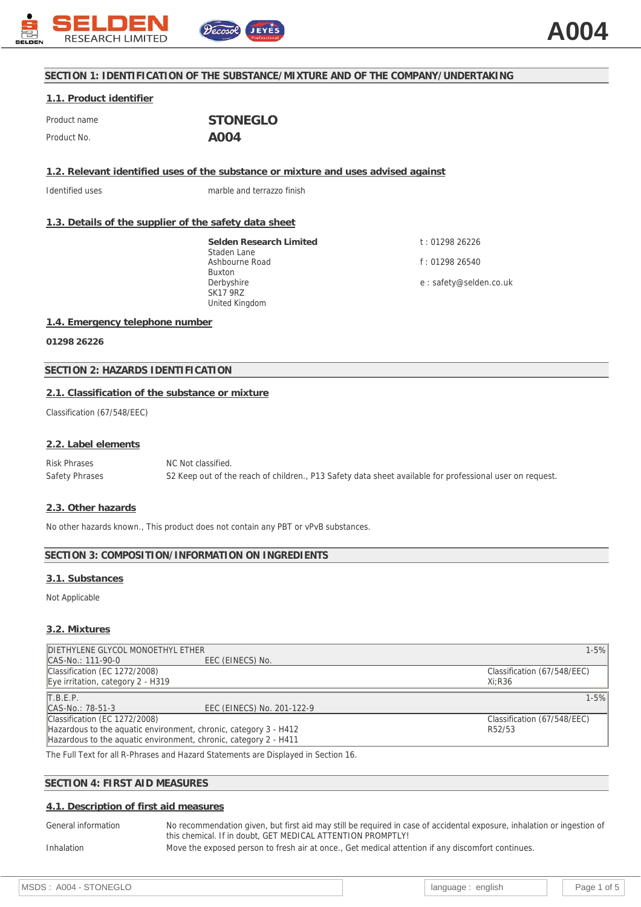

# **SECTION 1: IDENTIFICATION OF THE SUBSTANCE/MIXTURE AND OF THE COMPANY/UNDERTAKING**

# **1.1. Product identifier**

| Product name | <b>STONEGLO</b>   |
|--------------|-------------------|
| Product No.  | A <sub>0</sub> 04 |

**1.2. Relevant identified uses of the substance or mixture and uses advised against**

Identified uses marble and terrazzo finish

## **1.3. Details of the supplier of the safety data sheet**

**Selden Research Limited** Staden Lane Ashbourne Road Buxton Derbyshire SK17 9RZ United Kingdom

t : 01298 26226 f : 01298 26540 e : safety@selden.co.uk

### **1.4. Emergency telephone number**

**01298 26226**

## **SECTION 2: HAZARDS IDENTIFICATION**

## **2.1. Classification of the substance or mixture**

Classification (67/548/EEC)

### **2.2. Label elements**

Risk Phrases NC Not classified. Safety Phrases S2 Keep out of the reach of children., P13 Safety data sheet available for professional user on request.

### **2.3. Other hazards**

No other hazards known., This product does not contain any PBT or vPvB substances.

### **SECTION 3: COMPOSITION/INFORMATION ON INGREDIENTS**

### **3.1. Substances**

Not Applicable

### **3.2. Mixtures**

| DIETHYLENE GLYCOL MONOETHYL ETHER                                |                                                                                                                                                                                                                                   | $1 - 5%$                    |
|------------------------------------------------------------------|-----------------------------------------------------------------------------------------------------------------------------------------------------------------------------------------------------------------------------------|-----------------------------|
| CAS-No.: 111-90-0                                                | EEC (EINECS) No.                                                                                                                                                                                                                  |                             |
| Classification (EC 1272/2008)                                    |                                                                                                                                                                                                                                   | Classification (67/548/EEC) |
| Eye irritation, category $2 - H319$                              |                                                                                                                                                                                                                                   | Xi:R36                      |
| T.B.E.P.                                                         |                                                                                                                                                                                                                                   | $1 - 5%$                    |
| CAS-No.: 78-51-3                                                 | EEC (EINECS) No. 201-122-9                                                                                                                                                                                                        |                             |
| Classification (EC 1272/2008)                                    |                                                                                                                                                                                                                                   | Classification (67/548/EEC) |
| Hazardous to the aquatic environment, chronic, category 3 - H412 |                                                                                                                                                                                                                                   | R52/53                      |
|                                                                  | Hazardous to the aguatic environment, chronic, category 2 - H411                                                                                                                                                                  |                             |
|                                                                  | $\mathbf{a}$ . The contract of the contract of the contract of the contract of the contract of the contract of the contract of the contract of the contract of the contract of the contract of the contract of the contract of th |                             |

The Full Text for all R-Phrases and Hazard Statements are Displayed in Section 16.

## **SECTION 4: FIRST AID MEASURES**

## **4.1. Description of first aid measures**

General information No recommendation given, but first aid may still be required in case of accidental exposure, inhalation or ingestion of this chemical. If in doubt, GET MEDICAL ATTENTION PROMPTLY! Inhalation Move the exposed person to fresh air at once., Get medical attention if any discomfort continues.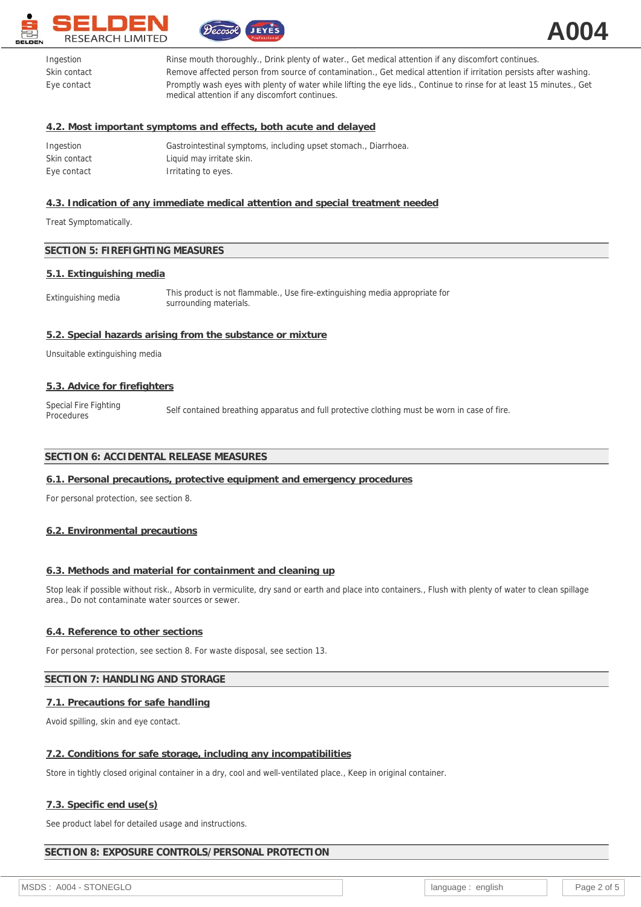



| Ingestion    | Rinse mouth thoroughly., Drink plenty of water., Get medical attention if any discomfort continues.                                                                    |
|--------------|------------------------------------------------------------------------------------------------------------------------------------------------------------------------|
| Skin contact | Remove affected person from source of contamination., Get medical attention if irritation persists after washing.                                                      |
| Eye contact  | Promptly wash eyes with plenty of water while lifting the eye lids., Continue to rinse for at least 15 minutes., Get<br>medical attention if any discomfort continues. |

## **4.2. Most important symptoms and effects, both acute and delayed**

| Ingestion    | Gastrointestinal symptoms, including upset stomach., Diarrhoea. |
|--------------|-----------------------------------------------------------------|
| Skin contact | Liquid may irritate skin.                                       |
| Eye contact  | Irritating to eyes.                                             |

# **4.3. Indication of any immediate medical attention and special treatment needed**

Treat Symptomatically.

## **SECTION 5: FIREFIGHTING MEASURES**

#### **5.1. Extinguishing media**

| This product is not flammable., Use fire-extinguishing media appropriate for<br>Extinguishing media<br>surrounding materials. |  |
|-------------------------------------------------------------------------------------------------------------------------------|--|
|-------------------------------------------------------------------------------------------------------------------------------|--|

### **5.2. Special hazards arising from the substance or mixture**

Unsuitable extinguishing media

### **5.3. Advice for firefighters**

Special Fire Fighting<br>Procedures Self contained breathing apparatus and full protective clothing must be worn in case of fire.

## **SECTION 6: ACCIDENTAL RELEASE MEASURES**

### **6.1. Personal precautions, protective equipment and emergency procedures**

For personal protection, see section 8.

### **6.2. Environmental precautions**

## **6.3. Methods and material for containment and cleaning up**

Stop leak if possible without risk., Absorb in vermiculite, dry sand or earth and place into containers., Flush with plenty of water to clean spillage area., Do not contaminate water sources or sewer.

### **6.4. Reference to other sections**

For personal protection, see section 8. For waste disposal, see section 13.

## **SECTION 7: HANDLING AND STORAGE**

## **7.1. Precautions for safe handling**

Avoid spilling, skin and eye contact.

### **7.2. Conditions for safe storage, including any incompatibilities**

Store in tightly closed original container in a dry, cool and well-ventilated place., Keep in original container.

### **7.3. Specific end use(s)**

See product label for detailed usage and instructions.

### **SECTION 8: EXPOSURE CONTROLS/PERSONAL PROTECTION**

MSDS : A004 - STONEGLO **language : english** Page 2 of 5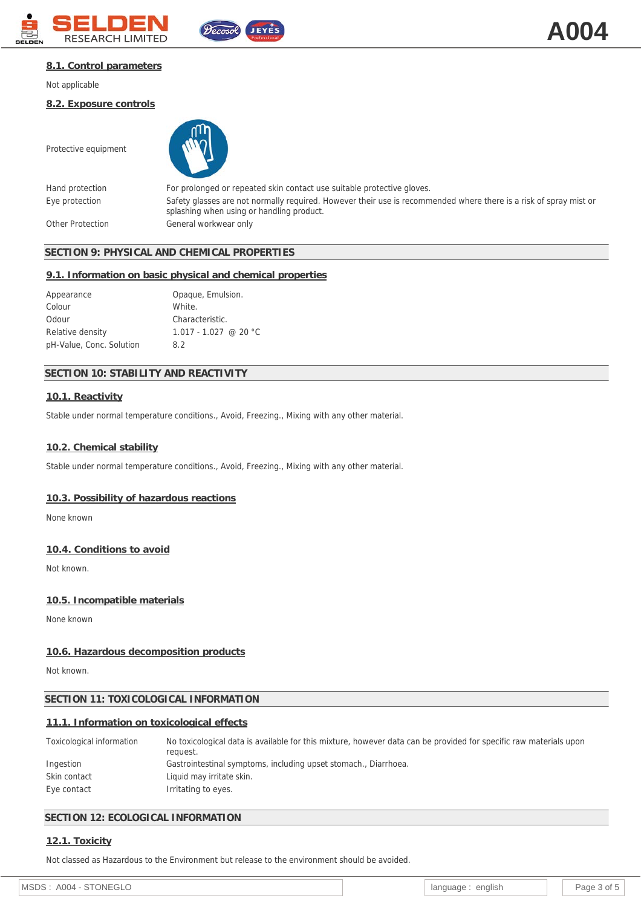



### **8.1. Control parameters**

Not applicable

Protective equipment

**8.2. Exposure controls**

Hand protection For prolonged or repeated skin contact use suitable protective gloves. Eye protection Safety glasses are not normally required. However their use is recommended where there is a risk of spray mist or splashing when using or handling product. Other Protection General workwear only

## **SECTION 9: PHYSICAL AND CHEMICAL PROPERTIES**

#### **9.1. Information on basic physical and chemical properties**

| Appearance               | Opaque, Emulsion.       |
|--------------------------|-------------------------|
| Colour                   | White.                  |
| Odour                    | Characteristic.         |
| Relative density         | $1.017 - 1.027$ @ 20 °C |
| pH-Value, Conc. Solution | 8.2                     |

## **SECTION 10: STABILITY AND REACTIVITY**

### **10.1. Reactivity**

Stable under normal temperature conditions., Avoid, Freezing., Mixing with any other material.

#### **10.2. Chemical stability**

Stable under normal temperature conditions., Avoid, Freezing., Mixing with any other material.

#### **10.3. Possibility of hazardous reactions**

None known

#### **10.4. Conditions to avoid**

Not known.

#### **10.5. Incompatible materials**

None known

#### **10.6. Hazardous decomposition products**

Not known.

#### **SECTION 11: TOXICOLOGICAL INFORMATION**

#### **11.1. Information on toxicological effects**

| Toxicological information | No toxicological data is available for this mixture, however data can be provided for specific raw materials upon<br>request. |
|---------------------------|-------------------------------------------------------------------------------------------------------------------------------|
| Ingestion                 | Gastrointestinal symptoms, including upset stomach., Diarrhoea.                                                               |
| Skin contact              | Liquid may irritate skin.                                                                                                     |
| Eye contact               | Irritating to eyes.                                                                                                           |

## **SECTION 12: ECOLOGICAL INFORMATION**

## **12.1. Toxicity**

Not classed as Hazardous to the Environment but release to the environment should be avoided.

| <b>MSF</b><br>ONF<br>$\sim$<br>A004<br>27<br>.<br>◡∟<br>__ | enalish<br>language<br>. . | ∍∩∩י |
|------------------------------------------------------------|----------------------------|------|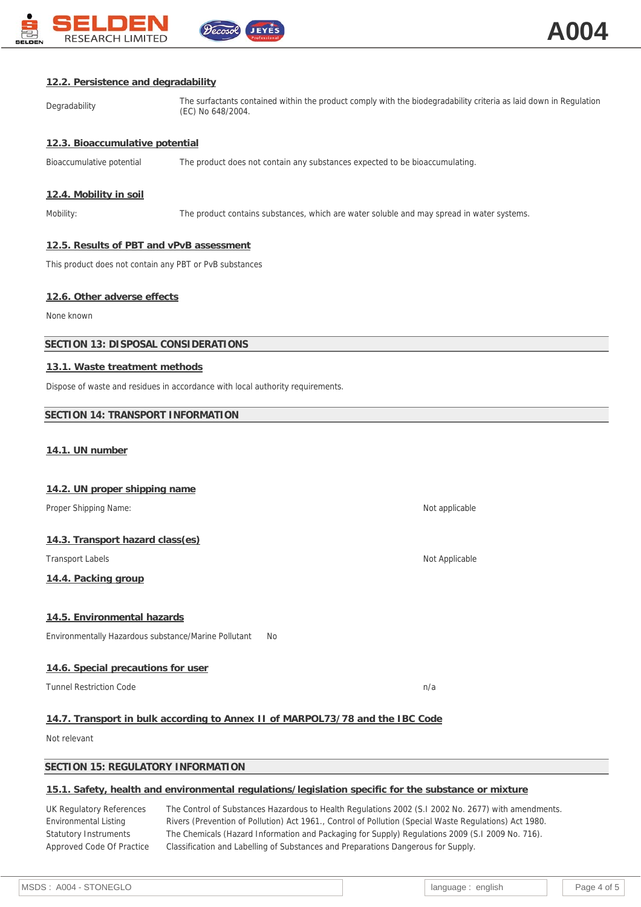

#### **12.2. Persistence and degradability**

Degradability The surfactants contained within the product comply with the biodegradability criteria as laid down in Regulation (EC) No 648/2004.

### **12.3. Bioaccumulative potential**

Bioaccumulative potential The product does not contain any substances expected to be bioaccumulating.

### **12.4. Mobility in soil**

Mobility: The product contains substances, which are water soluble and may spread in water systems.

#### **12.5. Results of PBT and vPvB assessment**

This product does not contain any PBT or PvB substances

### **12.6. Other adverse effects**

None known

#### **SECTION 13: DISPOSAL CONSIDERATIONS**

#### **13.1. Waste treatment methods**

Dispose of waste and residues in accordance with local authority requirements.

#### **SECTION 14: TRANSPORT INFORMATION**

#### **14.1. UN number**

#### **14.2. UN proper shipping name**

Proper Shipping Name: Not applicable and the state of the state of the state of the state of the state of the state of the state of the state of the state of the state of the state of the state of the state of the state of

#### **14.3. Transport hazard class(es)**

Transport Labels Not Applicable Not Applicable Not Applicable Not Applicable

## **14.4. Packing group**

#### **14.5. Environmental hazards**

Environmentally Hazardous substance/Marine Pollutant No

### **14.6. Special precautions for user**

Tunnel Restriction Code n/a new state of the new state of the new state new state new state new state new state

# **14.7. Transport in bulk according to Annex II of MARPOL73/78 and the IBC Code**

Not relevant

### **SECTION 15: REGULATORY INFORMATION**

# **15.1. Safety, health and environmental regulations/legislation specific for the substance or mixture**

UK Regulatory References The Control of Substances Hazardous to Health Regulations 2002 (S.I 2002 No. 2677) with amendments. Environmental Listing Rivers (Prevention of Pollution) Act 1961., Control of Pollution (Special Waste Regulations) Act 1980. Statutory Instruments The Chemicals (Hazard Information and Packaging for Supply) Regulations 2009 (S.I 2009 No. 716). Approved Code Of Practice Classification and Labelling of Substances and Preparations Dangerous for Supply.